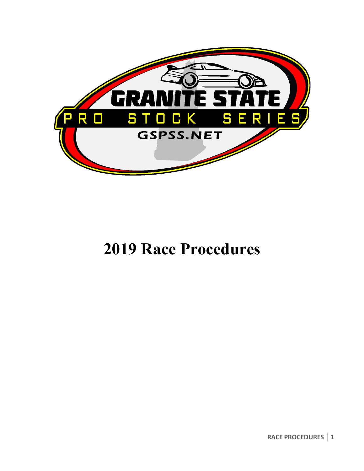

# **2019 Race Procedures**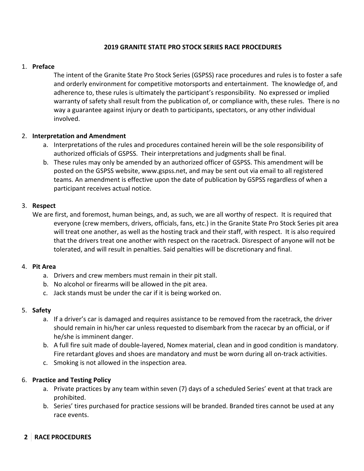#### **2019 GRANITE STATE PRO STOCK SERIES RACE PROCEDURES**

### 1. **Preface**

The intent of the Granite State Pro Stock Series (GSPSS) race procedures and rules is to foster a safe and orderly environment for competitive motorsports and entertainment. The knowledge of, and adherence to, these rules is ultimately the participant's responsibility. No expressed or implied warranty of safety shall result from the publication of, or compliance with, these rules. There is no way a guarantee against injury or death to participants, spectators, or any other individual involved.

# 2. **Interpretation and Amendment**

- a. Interpretations of the rules and procedures contained herein will be the sole responsibility of authorized officials of GSPSS. Their interpretations and judgments shall be final.
- b. These rules may only be amended by an authorized officer of GSPSS. This amendment will be posted on the GSPSS website, www.gspss.net, and may be sent out via email to all registered teams. An amendment is effective upon the date of publication by GSPSS regardless of when a participant receives actual notice.

#### 3. **Respect**

We are first, and foremost, human beings, and, as such, we are all worthy of respect. It is required that everyone (crew members, drivers, officials, fans, etc.) in the Granite State Pro Stock Series pit area will treat one another, as well as the hosting track and their staff, with respect. It is also required that the drivers treat one another with respect on the racetrack. Disrespect of anyone will not be tolerated, and will result in penalties. Said penalties will be discretionary and final.

#### 4. **Pit Area**

- a. Drivers and crew members must remain in their pit stall.
- b. No alcohol or firearms will be allowed in the pit area.
- c. Jack stands must be under the car if it is being worked on.

# 5. **Safety**

- a. If a driver's car is damaged and requires assistance to be removed from the racetrack, the driver should remain in his/her car unless requested to disembark from the racecar by an official, or if he/she is imminent danger.
- b. A full fire suit made of double-layered, Nomex material, clean and in good condition is mandatory. Fire retardant gloves and shoes are mandatory and must be worn during all on-track activities.
- c. Smoking is not allowed in the inspection area.

# 6. **Practice and Testing Policy**

- a. Private practices by any team within seven (7) days of a scheduled Series' event at that track are prohibited.
- b. Series' tires purchased for practice sessions will be branded. Branded tires cannot be used at any race events.

# **2 RACE PROCEDURES**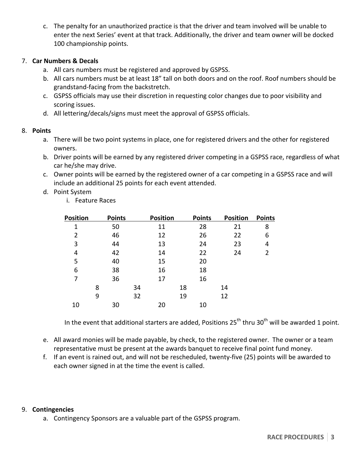c. The penalty for an unauthorized practice is that the driver and team involved will be unable to enter the next Series' event at that track. Additionally, the driver and team owner will be docked 100 championship points.

#### 7. **Car Numbers & Decals**

- a. All cars numbers must be registered and approved by GSPSS.
- b. All cars numbers must be at least 18" tall on both doors and on the roof. Roof numbers should be grandstand-facing from the backstretch.
- c. GSPSS officials may use their discretion in requesting color changes due to poor visibility and scoring issues.
- d. All lettering/decals/signs must meet the approval of GSPSS officials.

# 8. **Points**

- a. There will be two point systems in place, one for registered drivers and the other for registered owners.
- b. Driver points will be earned by any registered driver competing in a GSPSS race, regardless of what car he/she may drive.
- c. Owner points will be earned by the registered owner of a car competing in a GSPSS race and will include an additional 25 points for each event attended.
- d. Point System
	- i. Feature Races

| <b>Position</b> | <b>Points</b> |    | <b>Position</b> |    | <b>Points</b> | <b>Position</b> | <b>Points</b> |
|-----------------|---------------|----|-----------------|----|---------------|-----------------|---------------|
| 1               | 50            |    | 11              |    | 28            | 21              | 8             |
| 2               | 46            |    | 12              |    | 26            | 22              | 6             |
| 3               | 44            |    | 13              |    | 24            | 23              | 4             |
| 4               | 42            |    | 14              |    | 22            | 24              | 2             |
| 5               | 40            |    | 15              |    | 20            |                 |               |
| 6               | 38            |    | 16              |    | 18            |                 |               |
| 7               | 36            |    | 17              |    | 16            |                 |               |
|                 | 8             | 34 |                 | 18 |               | 14              |               |
|                 | 9             | 32 |                 | 19 |               | 12              |               |
| 10              | 30            |    | 20              |    | 10            |                 |               |

In the event that additional starters are added, Positions  $25^{th}$  thru  $30^{th}$  will be awarded 1 point.

- e. All award monies will be made payable, by check, to the registered owner. The owner or a team representative must be present at the awards banquet to receive final point fund money.
- f. If an event is rained out, and will not be rescheduled, twenty-five (25) points will be awarded to each owner signed in at the time the event is called.

#### 9. **Contingencies**

a. Contingency Sponsors are a valuable part of the GSPSS program.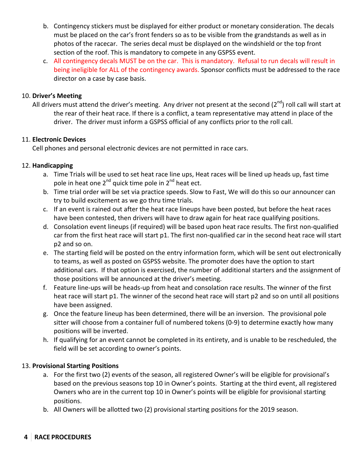- b. Contingency stickers must be displayed for either product or monetary consideration. The decals must be placed on the car's front fenders so as to be visible from the grandstands as well as in photos of the racecar. The series decal must be displayed on the windshield or the top front section of the roof. This is mandatory to compete in any GSPSS event.
- c. All contingency decals MUST be on the car. This is mandatory. Refusal to run decals will result in being ineligible for ALL of the contingency awards. Sponsor conflicts must be addressed to the race director on a case by case basis.

#### 10. **Driver's Meeting**

All drivers must attend the driver's meeting. Any driver not present at the second  $(2^{nd})$  roll call will start at the rear of their heat race. If there is a conflict, a team representative may attend in place of the driver. The driver must inform a GSPSS official of any conflicts prior to the roll call.

#### 11. **Electronic Devices**

Cell phones and personal electronic devices are not permitted in race cars.

#### 12. **Handicapping**

- a. Time Trials will be used to set heat race line ups, Heat races will be lined up heads up, fast time pole in heat one  $2^{nd}$  quick time pole in  $2^{nd}$  heat ect.
- b. Time trial order will be set via practice speeds. Slow to Fast, We will do this so our announcer can try to build excitement as we go thru time trials.
- c. If an event is rained out after the heat race lineups have been posted, but before the heat races have been contested, then drivers will have to draw again for heat race qualifying positions.
- d. Consolation event lineups (if required) will be based upon heat race results. The first non-qualified car from the first heat race will start p1. The first non-qualified car in the second heat race will start p2 and so on.
- e. The starting field will be posted on the entry information form, which will be sent out electronically to teams, as well as posted on GSPSS website. The promoter does have the option to start additional cars. If that option is exercised, the number of additional starters and the assignment of those positions will be announced at the driver's meeting.
- f. Feature line-ups will be heads-up from heat and consolation race results. The winner of the first heat race will start p1. The winner of the second heat race will start p2 and so on until all positions have been assigned.
- g. Once the feature lineup has been determined, there will be an inversion. The provisional pole sitter will choose from a container full of numbered tokens (0-9) to determine exactly how many positions will be inverted.
- h. If qualifying for an event cannot be completed in its entirety, and is unable to be rescheduled, the field will be set according to owner's points.

#### **13. Provisional Starting Positions**

- a. For the first two (2) events of the season, all registered Owner's will be eligible for provisional's based on the previous seasons top 10 in Owner's points. Starting at the third event, all registered Owners who are in the current top 10 in Owner's points will be eligible for provisional starting positions.
- b. All Owners will be allotted two (2) provisional starting positions for the 2019 season.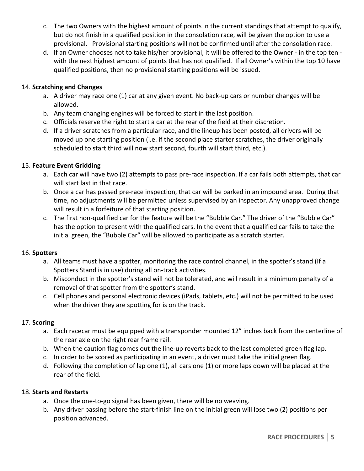- c. The two Owners with the highest amount of points in the current standings that attempt to qualify, but do not finish in a qualified position in the consolation race, will be given the option to use a provisional. Provisional starting positions will not be confirmed until after the consolation race.
- d. If an Owner chooses not to take his/her provisional, it will be offered to the Owner in the top ten with the next highest amount of points that has not qualified. If all Owner's within the top 10 have qualified positions, then no provisional starting positions will be issued.

# 14. **Scratching and Changes**

- a. A driver may race one (1) car at any given event. No back-up cars or number changes will be allowed.
- b. Any team changing engines will be forced to start in the last position.
- c. Officials reserve the right to start a car at the rear of the field at their discretion.
- d. If a driver scratches from a particular race, and the lineup has been posted, all drivers will be moved up one starting position (i.e. if the second place starter scratches, the driver originally scheduled to start third will now start second, fourth will start third, etc.).

# 15. **Feature Event Gridding**

- a. Each car will have two (2) attempts to pass pre-race inspection. If a car fails both attempts, that car will start last in that race.
- b. Once a car has passed pre-race inspection, that car will be parked in an impound area. During that time, no adjustments will be permitted unless supervised by an inspector. Any unapproved change will result in a forfeiture of that starting position.
- c. The first non-qualified car for the feature will be the "Bubble Car." The driver of the "Bubble Car" has the option to present with the qualified cars. In the event that a qualified car fails to take the initial green, the "Bubble Car" will be allowed to participate as a scratch starter.

# 16. **Spotters**

- a. All teams must have a spotter, monitoring the race control channel, in the spotter's stand (If a Spotters Stand is in use) during all on-track activities.
- b. Misconduct in the spotter's stand will not be tolerated, and will result in a minimum penalty of a removal of that spotter from the spotter's stand.
- c. Cell phones and personal electronic devices (iPads, tablets, etc.) will not be permitted to be used when the driver they are spotting for is on the track.

# 17. **Scoring**

- a. Each racecar must be equipped with a transponder mounted 12" inches back from the centerline of the rear axle on the right rear frame rail.
- b. When the caution flag comes out the line-up reverts back to the last completed green flag lap.
- c. In order to be scored as participating in an event, a driver must take the initial green flag.
- d. Following the completion of lap one (1), all cars one (1) or more laps down will be placed at the rear of the field.

# 18. **Starts and Restarts**

- a. Once the one-to-go signal has been given, there will be no weaving.
- b. Any driver passing before the start-finish line on the initial green will lose two (2) positions per position advanced.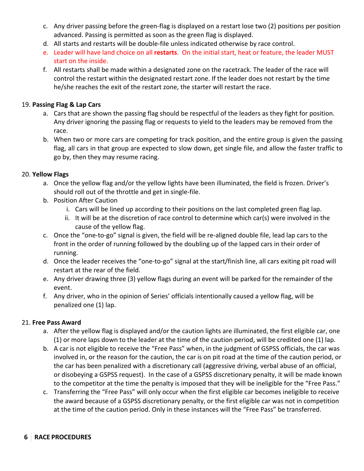- c. Any driver passing before the green-flag is displayed on a restart lose two (2) positions per position advanced. Passing is permitted as soon as the green flag is displayed.
- d. All starts and restarts will be double-file unless indicated otherwise by race control.
- e. Leader will have land choice on all restarts. On the initial start, heat or feature, the leader MUST start on the inside.
- f. All restarts shall be made within a designated zone on the racetrack. The leader of the race will control the restart within the designated restart zone. If the leader does not restart by the time he/she reaches the exit of the restart zone, the starter will restart the race.

# 19. **Passing Flag & Lap Cars**

- a. Cars that are shown the passing flag should be respectful of the leaders as they fight for position. Any driver ignoring the passing flag or requests to yield to the leaders may be removed from the race.
- b. When two or more cars are competing for track position, and the entire group is given the passing flag, all cars in that group are expected to slow down, get single file, and allow the faster traffic to go by, then they may resume racing.

# 20. **Yellow Flags**

- a. Once the yellow flag and/or the yellow lights have been illuminated, the field is frozen. Driver's should roll out of the throttle and get in single-file.
- b. Position After Caution
	- i. Cars will be lined up according to their positions on the last completed green flag lap.
	- ii. It will be at the discretion of race control to determine which car(s) were involved in the cause of the yellow flag.
- c. Once the "one-to-go" signal is given, the field will be re-aligned double file, lead lap cars to the front in the order of running followed by the doubling up of the lapped cars in their order of running.
- d. Once the leader receives the "one-to-go" signal at the start/finish line, all cars exiting pit road will restart at the rear of the field.
- e. Any driver drawing three (3) yellow flags during an event will be parked for the remainder of the event.
- f. Any driver, who in the opinion of Series' officials intentionally caused a yellow flag, will be penalized one (1) lap.

# 21. **Free Pass Award**

- a. After the yellow flag is displayed and/or the caution lights are illuminated, the first eligible car, one (1) or more laps down to the leader at the time of the caution period, will be credited one (1) lap.
- b. A car is not eligible to receive the "Free Pass" when, in the judgment of GSPSS officials, the car was involved in, or the reason for the caution, the car is on pit road at the time of the caution period, or the car has been penalized with a discretionary call (aggressive driving, verbal abuse of an official, or disobeying a GSPSS request). In the case of a GSPSS discretionary penalty, it will be made known to the competitor at the time the penalty is imposed that they will be ineligible for the "Free Pass."
- c. Transferring the "Free Pass" will only occur when the first eligible car becomes ineligible to receive the award because of a GSPSS discretionary penalty, or the first eligible car was not in competition at the time of the caution period. Only in these instances will the "Free Pass" be transferred.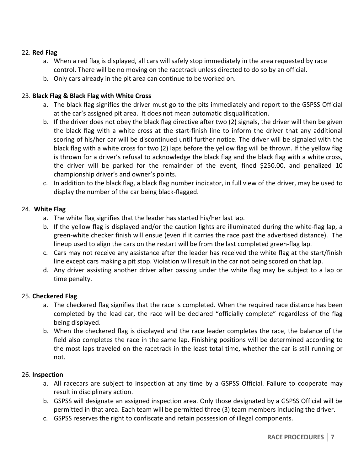### 22. **Red Flag**

- a. When a red flag is displayed, all cars will safely stop immediately in the area requested by race control. There will be no moving on the racetrack unless directed to do so by an official.
- b. Only cars already in the pit area can continue to be worked on.

# 23. **Black Flag & Black Flag with White Cross**

- a. The black flag signifies the driver must go to the pits immediately and report to the GSPSS Official at the car's assigned pit area. It does not mean automatic disqualification.
- b. If the driver does not obey the black flag directive after two (2) signals, the driver will then be given the black flag with a white cross at the start-finish line to inform the driver that any additional scoring of his/her car will be discontinued until further notice. The driver will be signaled with the black flag with a white cross for two (2) laps before the yellow flag will be thrown. If the yellow flag is thrown for a driver's refusal to acknowledge the black flag and the black flag with a white cross, the driver will be parked for the remainder of the event, fined \$250.00, and penalized 10 championship driver's and owner's points.
- c. In addition to the black flag, a black flag number indicator, in full view of the driver, may be used to display the number of the car being black-flagged.

#### 24. White Flag

- a. The white flag signifies that the leader has started his/her last lap.
- b. If the yellow flag is displayed and/or the caution lights are illuminated during the white-flag lap, a green-white checker finish will ensue (even if it carries the race past the advertised distance). The lineup used to align the cars on the restart will be from the last completed green-flag lap.
- c. Cars may not receive any assistance after the leader has received the white flag at the start/finish line except cars making a pit stop. Violation will result in the car not being scored on that lap.
- d. Any driver assisting another driver after passing under the white flag may be subject to a lap or time penalty.

# 25. **Checkered Flag**

- a. The checkered flag signifies that the race is completed. When the required race distance has been completed by the lead car, the race will be declared "officially complete" regardless of the flag being displayed.
- b. When the checkered flag is displayed and the race leader completes the race, the balance of the field also completes the race in the same lap. Finishing positions will be determined according to the most laps traveled on the racetrack in the least total time, whether the car is still running or not.

#### 26. **Inspection**

- a. All racecars are subject to inspection at any time by a GSPSS Official. Failure to cooperate may result in disciplinary action.
- b. GSPSS will designate an assigned inspection area. Only those designated by a GSPSS Official will be permitted in that area. Each team will be permitted three (3) team members including the driver.
- c. GSPSS reserves the right to confiscate and retain possession of illegal components.